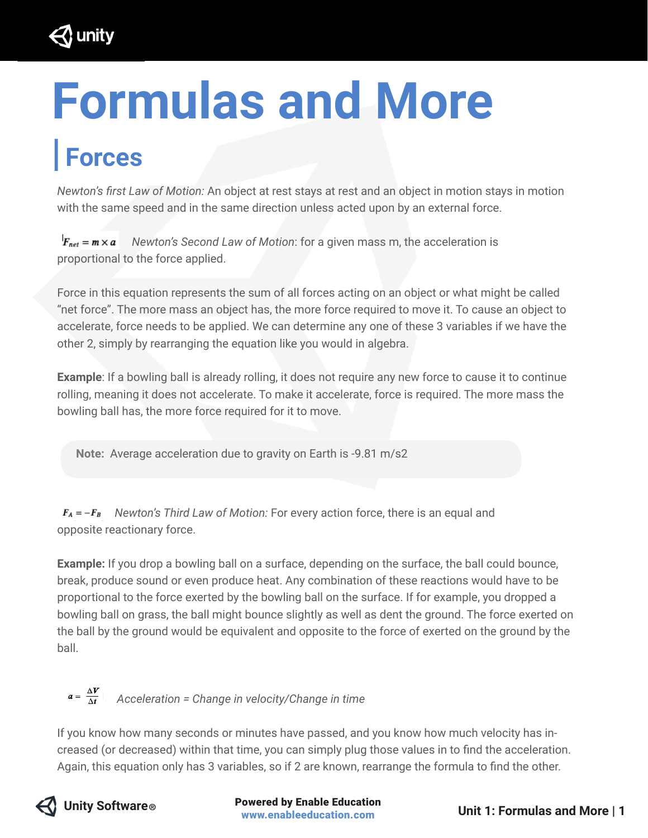

# **Formulas and More**

## **| Forces**

*Newton's first Law of Motion:* An object at rest stays at rest and an object in motion stays in motion with the same speed and in the same direction unless acted upon by an external force.

 $F_{net} = m \times a$  Newton's Second Law of Motion: for a given mass m, the acceleration is proportional to the force applied.

Force in this equation represents the sum of all forces acting on an object or what might be called "net force". The more mass an object has, the more force required to move it. To cause an object to accelerate, force needs to be applied. We can determine any one of these 3 variables if we have the other 2, simply by rearranging the equation like you would in algebra.

**Example**: If a bowling ball is already rolling, it does not require any new force to cause it to continue rolling, meaning it does not accelerate. To make it accelerate, force is required. The more mass the bowling ball has, the more force required for it to move.

 **Note:** Average acceleration due to gravity on Earth is -9.81 m/s2

 $F_A = -F_B$  Newton's Third Law of Motion: For every action force, there is an equal and opposite reactionary force.

**Example:** If you drop a bowling ball on a surface, depending on the surface, the ball could bounce, break, produce sound or even produce heat. Any combination of these reactions would have to be proportional to the force exerted by the bowling ball on the surface. If for example, you dropped a bowling ball on grass, the ball might bounce slightly as well as dent the ground. The force exerted on the ball by the ground would be equivalent and opposite to the force of exerted on the ground by the ball.

#### $a = \frac{\Delta V}{\Delta t}$  Acceleration = Change in velocity/Change in time

If you know how many seconds or minutes have passed, and you know how much velocity has increased (or decreased) within that time, you can simply plug those values in to find the acceleration. Again, this equation only has 3 variables, so if 2 are known, rearrange the formula to find the other.



**Unity Software © Conserved by Enable Education**<br> **Powered by Enable Education computer System** Unit 1: Formulas and More | 1 www.enableeducation.com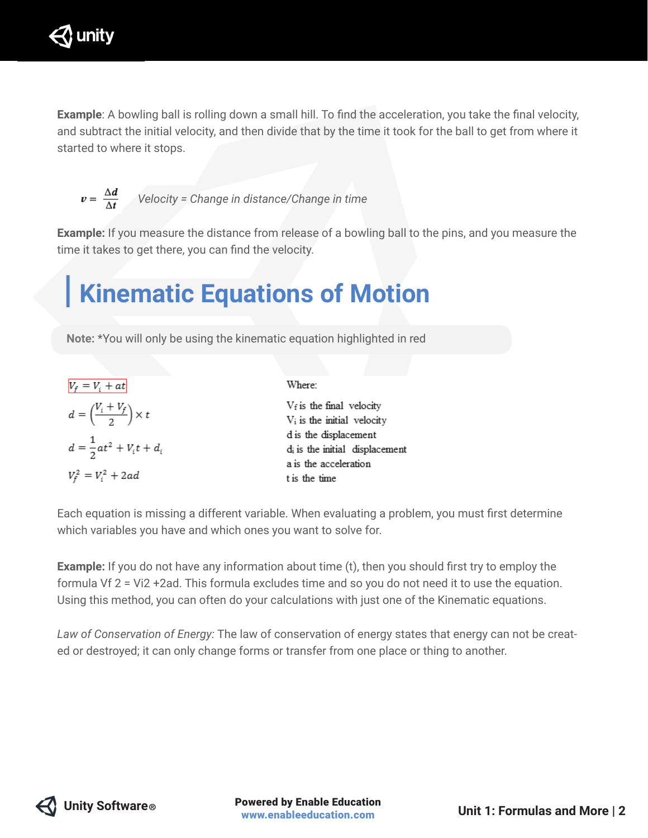

**Example**: A bowling ball is rolling down a small hill. To find the acceleration, you take the final velocity, and subtract the initial velocity, and then divide that by the time it took for the ball to get from where it started to where it stops.

$$
v = \frac{\Delta d}{\Delta t}
$$

 $v = \frac{\Delta u}{\Delta t}$  Velocity = Change in distance/Change in time

**Example:** If you measure the distance from release of a bowling ball to the pins, and you measure the time it takes to get there, you can find the velocity.

### **| Kinematic Equations of Motion**

 **Note:** \*You will only be using the kinematic equation highlighted in red

$$
V_f = V_i + at
$$
  
\n
$$
d = \left(\frac{V_i + V_f}{2}\right) \times t
$$
  
\n
$$
d = \frac{1}{2}at^2 + V_it + d_i
$$
  
\n
$$
V_f^2 = V_i^2 + 2ad
$$

Where:  $V_f$  is the final velocity V<sub>i</sub> is the initial velocity d is the displacement di is the initial displacement a is the acceleration t is the time

Each equation is missing a different variable. When evaluating a problem, you must first determine which variables you have and which ones you want to solve for.

**Example:** If you do not have any information about time (t), then you should first try to employ the formula Vf 2 = Vi2 +2ad. This formula excludes time and so you do not need it to use the equation. Using this method, you can often do your calculations with just one of the Kinematic equations.

*Law of Conservation of Energy:* The law of conservation of energy states that energy can not be created or destroyed; it can only change forms or transfer from one place or thing to another.